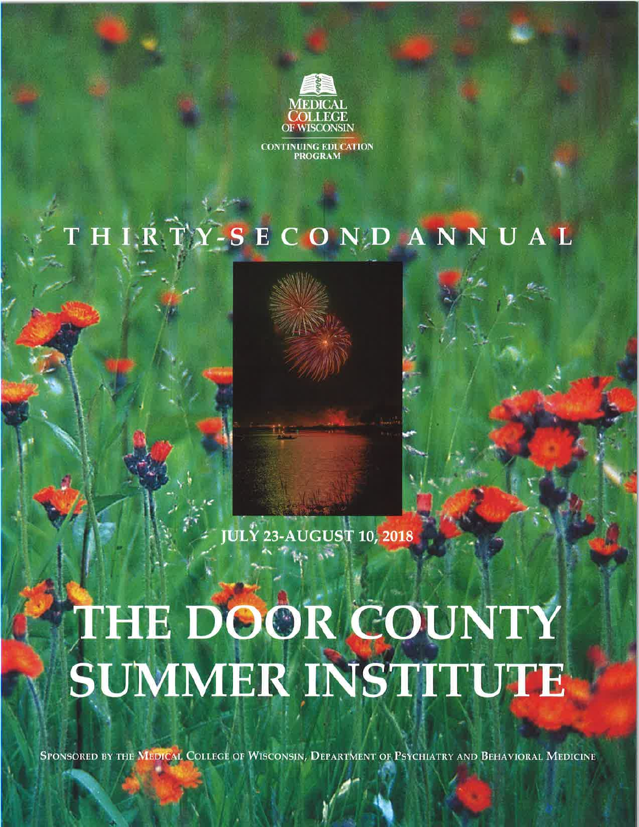

**CONTINUING EDUCATION PROGRAM** 

# THIRTY-SECONDANNUAL



**JULY 23-AUGUST 10, 2018** 

# THE DOOR COUNTY SUMMER INSTITUTE

SPONSORED BY THE MEDICAL COLLEGE OF WISCONSIN, DEPARTMENT OF PSYCHIATRY AND BEHAVIORAL MEDICINE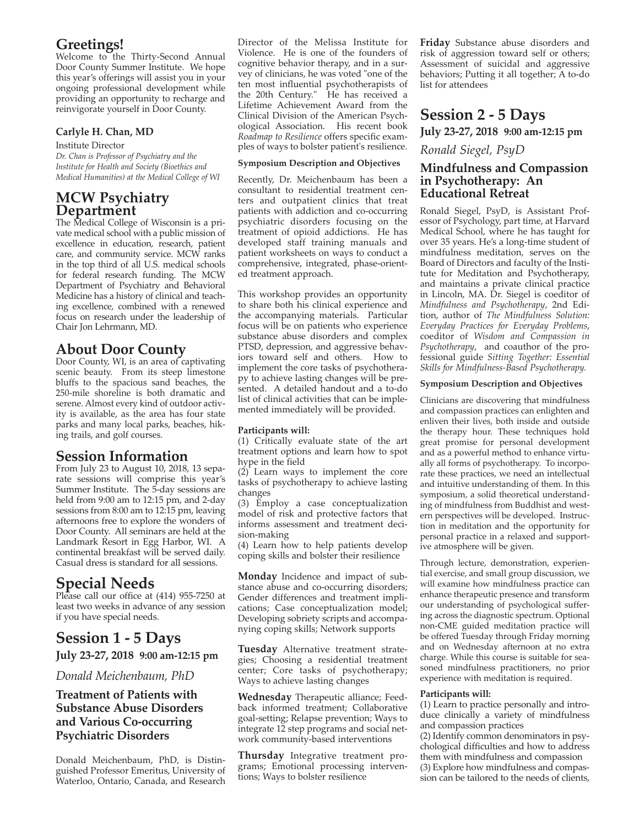# **greetings!**

Welcome to the Thirty-Second Annual Door County Summer Institute. We hope this year's offerings will assist you in your ongoing professional development while providing an opportunity to recharge and reinvigorate yourself in Door County.

#### **carlyle h. chan, Md**

Institute Director *Dr. Chan is Professor of Psychiatry and the Institute for Health and Society (Bioethics and Medical Humanities) at the Medical College of WI*

# **McW psychiatry department**

The Medical College of Wisconsin is a private medical school with a public mission of excellence in education, research, patient care, and community service. MCW ranks in the top third of all U.S. medical schools for federal research funding. The MCW Department of Psychiatry and Behavioral Medicine has a history of clinical and teaching excellence, combined with a renewed focus on research under the leadership of Chair Jon Lehrmann, MD.

# **about** Door County

Door County, WI, is an area of captivating scenic beauty. From its steep limestone bluffs to the spacious sand beaches, the 250-mile shoreline is both dramatic and serene. Almost every kind of outdoor activity is available, as the area has four state parks and many local parks, beaches, hiking trails, and golf courses.

# **Session information**

From July 23 to August 10, 2018, 13 separate sessions will comprise this year's Summer Institute. The 5-day sessions are held from 9:00 am to 12:15 pm, and 2-day sessions from 8:00 am to 12:15 pm, leaving afternoons free to explore the wonders of Door County. All seminars are held at the Landmark Resort in Egg Harbor, WI. A continental breakfast will be served daily. Casual dress is standard for all sessions.

# **Special needs**

Please call our office at (414) 955-7250 at least two weeks in advance of any session if you have special needs.

# **Session 1 - 5 Days**

**July 23-27, 2018 9:00 am-12:15 pm**

#### *Donald Meichenbaum, PhD*

#### **treatment of patients with Substance Abuse Disorders and various co-occurring psychiatric disorders**

Donald Meichenbaum, PhD, is Distinguished Professor Emeritus, University of Waterloo, Ontario, Canada, and Research Director of the Melissa Institute for Violence. He is one of the founders of cognitive behavior therapy, and in a survey of clinicians, he was voted "one of the ten most influential psychotherapists of the 20th Century." He has received a Lifetime Achievement Award from the Clinical Division of the American Psychological Association. His recent book *Roadmap to Resilience* offers specific examples of ways to bolster patient's resilience.

#### **Symposium** Description and Objectives

Recently, Dr. Meichenbaum has been a consultant to residential treatment centers and outpatient clinics that treat patients with addiction and co-occurring psychiatric disorders focusing on the treatment of opioid addictions. He has developed staff training manuals and patient worksheets on ways to conduct a comprehensive, integrated, phase-oriented treatment approach.

This workshop provides an opportunity to share both his clinical experience and the accompanying materials. Particular focus will be on patients who experience substance abuse disorders and complex PTSD, depression, and aggressive behaviors toward self and others. How to implement the core tasks of psychotherapy to achieve lasting changes will be presented. A detailed handout and a to-do list of clinical activities that can be implemented immediately will be provided.

#### **participants will:**

(1) Critically evaluate state of the art treatment options and learn how to spot hype in the field

 $(2)$  Learn ways to implement the core tasks of psychotherapy to achieve lasting changes

(3) Employ a case conceptualization model of risk and protective factors that informs assessment and treatment decision-making

(4) Learn how to help patients develop coping skills and bolster their resilience

**Monday** Incidence and impact of substance abuse and co-occurring disorders; Gender differences and treatment implications; Case conceptualization model; Developing sobriety scripts and accompanying coping skills; Network supports

**tuesday** Alternative treatment strategies; Choosing a residential treatment center; Core tasks of psychotherapy; Ways to achieve lasting changes

**Wednesday** Therapeutic alliance; Feedback informed treatment; Collaborative goal-setting; Relapse prevention; Ways to integrate 12 step programs and social network community-based interventions

**thursday** Integrative treatment programs; Emotional processing interventions; Ways to bolster resilience

**friday** Substance abuse disorders and risk of aggression toward self or others; Assessment of suicidal and aggressive behaviors; Putting it all together; A to-do list for attendees

# **Session 2 - 5 Days**

**July 23-27, 2018 9:00 am-12:15 pm**

*Ronald Siegel, PsyD*

#### **Mindfulness and compassion in psychotherapy: an educational retreat**

Ronald Siegel, PsyD, is Assistant Professor of Psychology, part time, at Harvard Medical School, where he has taught for over 35 years. He's a long-time student of mindfulness meditation, serves on the Board of Directors and faculty of the Institute for Meditation and Psychotherapy, and maintains a private clinical practice in Lincoln, MA. Dr. Siegel is coeditor of *Mindfulness and Psychotherapy*, 2nd Edition, author of *The Mindfulness Solution: Everyday Practices for Everyday Problems*, coeditor of *Wisdom and Compassion in Psychotherapy*, and coauthor of the professional guide *Sitting Together: Essential Skills for Mindfulness-Based Psychotherapy.*

#### **Symposium Description and Objectives**

Clinicians are discovering that mindfulness and compassion practices can enlighten and enliven their lives, both inside and outside the therapy hour. These techniques hold great promise for personal development and as a powerful method to enhance virtually all forms of psychotherapy. To incorporate these practices, we need an intellectual and intuitive understanding of them. In this symposium, a solid theoretical understanding of mindfulness from Buddhist and western perspectives will be developed. Instruction in meditation and the opportunity for personal practice in a relaxed and supportive atmosphere will be given.

Through lecture, demonstration, experiential exercise, and small group discussion, we will examine how mindfulness practice can enhance therapeutic presence and transform our understanding of psychological suffering across the diagnostic spectrum. Optional non-CME guided meditation practice will be offered Tuesday through Friday morning and on Wednesday afternoon at no extra charge. While this course is suitable for seasoned mindfulness practitioners, no prior experience with meditation is required.

#### **participants will:**

(1) Learn to practice personally and introduce clinically a variety of mindfulness and compassion practices

(2) Identify common denominators in psychological difficulties and how to address them with mindfulness and compassion (3) Explore how mindfulness and compassion can be tailored to the needs of clients,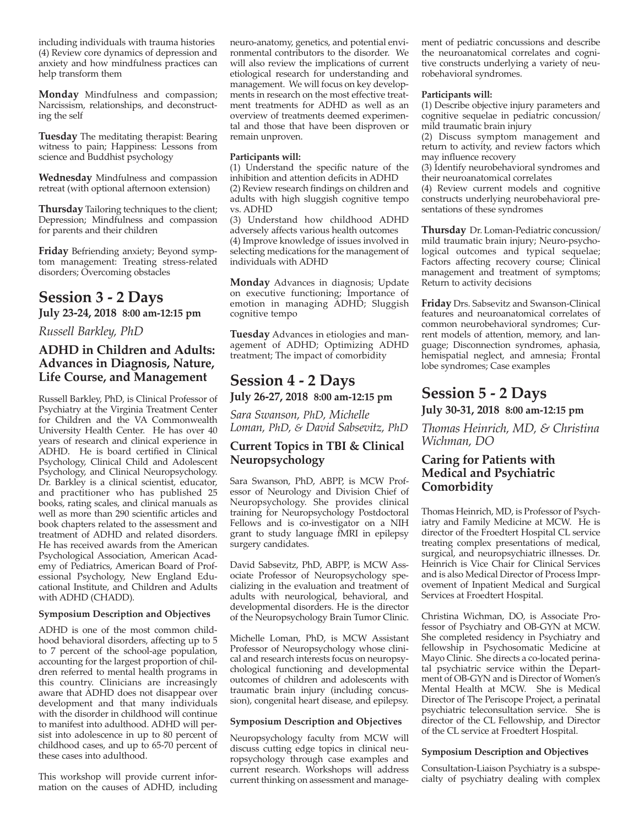including individuals with trauma histories (4) Review core dynamics of depression and anxiety and how mindfulness practices can help transform them

**Monday** Mindfulness and compassion; Narcissism, relationships, and deconstructing the self

**tuesday** The meditating therapist: Bearing witness to pain; Happiness: Lessons from science and Buddhist psychology

**Wednesday** Mindfulness and compassion retreat (with optional afternoon extension)

**Thursday** Tailoring techniques to the client; Depression; Mindfulness and compassion for parents and their children

**friday** Befriending anxiety; Beyond symptom management: Treating stress-related disorders; Overcoming obstacles

# **Session** 3 - 2 Days

**July 23-24, 2018 8:00 am-12:15 pm**

*Russell Barkley, PhD*

#### **adhd in children and adults: advances in diagnosis, nature, life course, and Management**

Russell Barkley, PhD, is Clinical Professor of Psychiatry at the Virginia Treatment Center for Children and the VA Commonwealth University Health Center. He has over 40 years of research and clinical experience in ADHD. He is board certified in Clinical Psychology, Clinical Child and Adolescent Psychology, and Clinical Neuropsychology. Dr. Barkley is a clinical scientist, educator, and practitioner who has published 25 books, rating scales, and clinical manuals as well as more than 290 scientific articles and book chapters related to the assessment and treatment of ADHD and related disorders. He has received awards from the American Psychological Association, American Academy of Pediatrics, American Board of Professional Psychology, New England Educational Institute, and Children and Adults with ADHD (CHADD).

#### **Symposium description and objectives**

ADHD is one of the most common childhood behavioral disorders, affecting up to 5 to 7 percent of the school-age population, accounting for the largest proportion of children referred to mental health programs in this country. Clinicians are increasingly aware that ADHD does not disappear over development and that many individuals with the disorder in childhood will continue to manifest into adulthood. ADHD will persist into adolescence in up to 80 percent of childhood cases, and up to 65-70 percent of these cases into adulthood.

This workshop will provide current information on the causes of ADHD, including neuro-anatomy, genetics, and potential environmental contributors to the disorder. We will also review the implications of current etiological research for understanding and management. We will focus on key developments in research on the most effective treatment treatments for ADHD as well as an overview of treatments deemed experimental and those that have been disproven or remain unproven.

#### **participants will:**

individuals with ADHD

(1) Understand the specific nature of the inhibition and attention deficits in ADHD (2) Review research findings on children and adults with high sluggish cognitive tempo

vs. ADHD

(3) Understand how childhood ADHD adversely affects various health outcomes (4) Improve knowledge of issues involved in selecting medications for the management of

**Monday** Advances in diagnosis; Update on executive functioning; Importance of emotion in managing ADHD; Sluggish cognitive tempo

**tuesday** Advances in etiologies and management of ADHD; Optimizing ADHD treatment; The impact of comorbidity

# **Session 4 - 2 Days**

**July 26-27, 2018 8:00 am-12:15 pm**

*Sara Swanson, PhD, Michelle Loman, PhD, & David Sabsevitz, PhD*

#### **current topics in tbi & clinical neuropsychology**

Sara Swanson, PhD, ABPP, is MCW Professor of Neurology and Division Chief of Neuropsychology. She provides clinical training for Neuropsychology Postdoctoral Fellows and is co-investigator on a NIH grant to study language fMRI in epilepsy surgery candidates.

David Sabsevitz, PhD, ABPP, is MCW Associate Professor of Neuropsychology specializing in the evaluation and treatment of adults with neurological, behavioral, and developmental disorders. He is the director of the Neuropsychology Brain Tumor Clinic.

Michelle Loman, PhD, is MCW Assistant Professor of Neuropsychology whose clinical and research interests focus on neuropsychological functioning and developmental outcomes of children and adolescents with traumatic brain injury (including concussion), congenital heart disease, and epilepsy.

#### **Symposium description and objectives**

Neuropsychology faculty from MCW will discuss cutting edge topics in clinical neuropsychology through case examples and current research. Workshops will address current thinking on assessment and management of pediatric concussions and describe the neuroanatomical correlates and cognitive constructs underlying a variety of neurobehavioral syndromes.

#### **participants will:**

(1) Describe objective injury parameters and cognitive sequelae in pediatric concussion/ mild traumatic brain injury

(2) Discuss symptom management and return to activity, and review factors which may influence recovery

(3) Identify neurobehavioral syndromes and their neuroanatomical correlates

(4) Review current models and cognitive constructs underlying neurobehavioral presentations of these syndromes

**thursday** Dr. Loman-Pediatric concussion/ mild traumatic brain injury; Neuro-psychological outcomes and typical sequelae; Factors affecting recovery course; Clinical management and treatment of symptoms; Return to activity decisions

**friday** Drs. Sabsevitz and Swanson-Clinical features and neuroanatomical correlates of common neurobehavioral syndromes; Current models of attention, memory, and language; Disconnection syndromes, aphasia, hemispatial neglect, and amnesia; Frontal lobe syndromes; Case examples

# **Session 5 - 2 days**

**July 30-31, 2018 8:00 am-12:15 pm**

*Thomas Heinrich, MD, & Christina Wichman, DO*

#### **caring for patients with Medical and psychiatric comorbidity**

Thomas Heinrich, MD, is Professor of Psychiatry and Family Medicine at MCW. He is director of the Froedtert Hospital CL service treating complex presentations of medical, surgical, and neuropsychiatric illnesses. Dr. Heinrich is Vice Chair for Clinical Services and is also Medical Director of Process Improvement of Inpatient Medical and Surgical Services at Froedtert Hospital.

Christina Wichman, DO, is Associate Professor of Psychiatry and OB-GYN at MCW. She completed residency in Psychiatry and fellowship in Psychosomatic Medicine at Mayo Clinic. She directs a co-located perinatal psychiatric service within the Department of OB-GYN and is Director of Women's Mental Health at MCW. She is Medical Director of The Periscope Project, a perinatal psychiatric teleconsultation service. She is director of the CL Fellowship, and Director of the CL service at Froedtert Hospital.

#### **Symposium Description and Objectives**

Consultation-Liaison Psychiatry is a subspecialty of psychiatry dealing with complex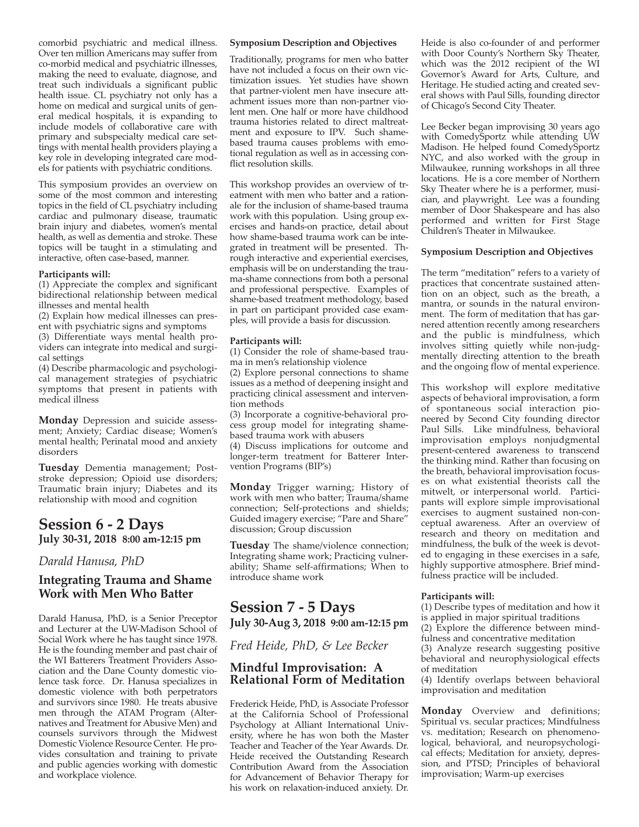comorbid psychiatric and medical illness. Over ten million Americans may suffer from co-morbid medical and psychiatric illnesses, making the need to evaluate, diagnose, and treat such individuals a significant public health issue. CL psychiatry not only has a home on medical and surgical units of general medical hospitals, it is expanding to include models of collaborative care with primary and subspecialty medical care settings with mental health providers playing a key role in developing integrated care models for patients with psychiatric conditions.

This symposium provides an overview on some of the most common and interesting topics in the field of CL psychiatry including cardiac and pulmonary disease, traumatic brain injury and diabetes, women's mental health, as well as dementia and stroke. These topics will be taught in a stimulating and interactive, often case-based, manner.

#### **participants will:**

(1) Appreciate the complex and significant bidirectional relationship between medical illnesses and mental health

(2) Explain how medical illnesses can present with psychiatric signs and symptoms

(3) Differentiate ways mental health providers can integrate into medical and surgical settings

(4) Describe pharmacologic and psychological management strategies of psychiatric symptoms that present in patients with medical illness

**Monday** Depression and suicide assessment; Anxiety; Cardiac disease; Women's mental health; Perinatal mood and anxiety disorders

**tuesday** Dementia management; Poststroke depression; Opioid use disorders; Traumatic brain injury; Diabetes and its relationship with mood and cognition

#### **Session 6 - 2 days July 30-31, 2018 8:00 am-12:15 pm**

#### *Darald Hanusa, PhD*

#### **integrating trauma and Shame Work with Men Who batter**

Darald Hanusa, PhD, is a Senior Preceptor and Lecturer at the UW-Madison School of Social Work where he has taught since 1978. He is the founding member and past chair of the WI Batterers Treatment Providers Association and the Dane County domestic violence task force. Dr. Hanusa specializes in domestic violence with both perpetrators and survivors since 1980. He treats abusive men through the ATAM Program (Alternatives and Treatment for Abusive Men) and counsels survivors through the Midwest Domestic Violence Resource Center. He provides consultation and training to private and public agencies working with domestic and workplace violence.

#### **Symposium Description and Objectives**

Traditionally, programs for men who batter have not included a focus on their own victimization issues. Yet studies have shown that partner-violent men have insecure attachment issues more than non-partner violent men. One half or more have childhood trauma histories related to direct maltreatment and exposure to IPV. Such shamebased trauma causes problems with emotional regulation as well as in accessing conflict resolution skills.

This workshop provides an overview of treatment with men who batter and a rationale for the inclusion of shame-based trauma work with this population. Using group exercises and hands-on practice, detail about how shame-based trauma work can be integrated in treatment will be presented. Through interactive and experiential exercises, emphasis will be on understanding the trauma-shame connections from both a personal and professional perspective. Examples of shame-based treatment methodology, based in part on participant provided case examples, will provide a basis for discussion.

#### **participants will:**

(1) Consider the role of shame-based trauma in men's relationship violence

(2) Explore personal connections to shame issues as a method of deepening insight and practicing clinical assessment and intervention methods

(3) Incorporate a cognitive-behavioral process group model for integrating shamebased trauma work with abusers

(4) Discuss implications for outcome and longer-term treatment for Batterer Intervention Programs (BIP's)

**Monday** Trigger warning; History of work with men who batter; Trauma/shame connection; Self-protections and shields; Guided imagery exercise; "Pare and Share" discussion; Group discussion

**Tuesday** The shame/violence connection; Integrating shame work; Practicing vulnerability; Shame self-affirmations; When to introduce shame work

#### **Session 7 - 5 days July 30-aug 3, 2018 9:00 am-12:15 pm**

*Fred Heide, PhD, & Lee Becker*

#### **Mindful improvisation: a relational form of Meditation**

Frederick Heide, PhD, is Associate Professor at the California School of Professional Psychology at Alliant International University, where he has won both the Master Teacher and Teacher of the Year Awards. Dr. Heide received the Outstanding Research Contribution Award from the Association for Advancement of Behavior Therapy for his work on relaxation-induced anxiety. Dr.

Heide is also co-founder of and performer with Door County's Northern Sky Theater, which was the 2012 recipient of the WI Governor's Award for Arts, Culture, and Heritage. He studied acting and created several shows with Paul Sills, founding director of Chicago's Second City Theater.

Lee Becker began improvising 30 years ago with ComedySportz while attending UW Madison. He helped found ComedySportz NYC, and also worked with the group in Milwaukee, running workshops in all three locations. He is a core member of Northern Sky Theater where he is a performer, musician, and playwright. Lee was a founding member of Door Shakespeare and has also performed and written for First Stage Children's Theater in Milwaukee.

#### **Symposium description and objectives**

The term "meditation" refers to a variety of practices that concentrate sustained attention on an object, such as the breath, a mantra, or sounds in the natural environment. The form of meditation that has garnered attention recently among researchers and the public is mindfulness, which involves sitting quietly while non-judgmentally directing attention to the breath and the ongoing flow of mental experience.

This workshop will explore meditative aspects of behavioral improvisation, a form of spontaneous social interaction pioneered by Second City founding director Paul Sills. Like mindfulness, behavioral improvisation employs nonjudgmental present-centered awareness to transcend the thinking mind. Rather than focusing on the breath, behavioral improvisation focuses on what existential theorists call the mitwelt, or interpersonal world. Participants will explore simple improvisational exercises to augment sustained non-conceptual awareness. After an overview of research and theory on meditation and mindfulness, the bulk of the week is devoted to engaging in these exercises in a safe, highly supportive atmosphere. Brief mindfulness practice will be included.

#### **participants will:**

(1) Describe types of meditation and how it is applied in major spiritual traditions

(2) Explore the difference between mindfulness and concentrative meditation

(3) Analyze research suggesting positive behavioral and neurophysiological effects of meditation

(4) Identify overlaps between behavioral improvisation and meditation

**Monday** Overview and definitions; Spiritual vs. secular practices; Mindfulness vs. meditation; Research on phenomenological, behavioral, and neuropsychological effects; Meditation for anxiety, depression, and PTSD; Principles of behavioral improvisation; Warm-up exercises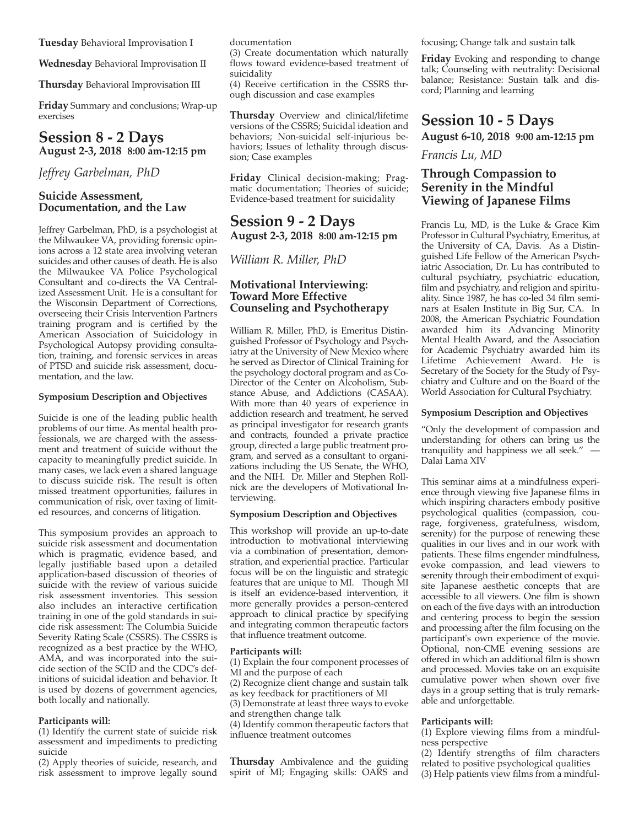**tuesday** Behavioral Improvisation I

**Wednesday** Behavioral Improvisation II

**thursday** Behavioral Improvisation III

**friday** Summary and conclusions; Wrap-up exercises

#### **Session 8 - 2 days august 2-3, 2018 8:00 am-12:15 pm**

*Jeffrey Garbelman, PhD*

#### **Suicide assessment, documentation, and the law**

Jeffrey Garbelman, PhD, is a psychologist at the Milwaukee VA, providing forensic opinions across a 12 state area involving veteran suicides and other causes of death. He is also the Milwaukee VA Police Psychological Consultant and co-directs the VA Centralized Assessment Unit. He is a consultant for the Wisconsin Department of Corrections, overseeing their Crisis Intervention Partners training program and is certified by the American Association of Suicidology in Psychological Autopsy providing consultation, training, and forensic services in areas of PTSD and suicide risk assessment, documentation, and the law.

#### **Symposium description and objectives**

Suicide is one of the leading public health problems of our time. As mental health professionals, we are charged with the assessment and treatment of suicide without the capacity to meaningfully predict suicide. In many cases, we lack even a shared language to discuss suicide risk. The result is often missed treatment opportunities, failures in communication of risk, over taxing of limited resources, and concerns of litigation.

This symposium provides an approach to suicide risk assessment and documentation which is pragmatic, evidence based, and legally justifiable based upon a detailed application-based discussion of theories of suicide with the review of various suicide risk assessment inventories. This session also includes an interactive certification training in one of the gold standards in suicide risk assessment: The Columbia Suicide Severity Rating Scale (CSSRS). The CSSRS is recognized as a best practice by the WHO, AMA, and was incorporated into the suicide section of the SCID and the CDC's definitions of suicidal ideation and behavior. It is used by dozens of government agencies, both locally and nationally.

#### **participants will:**

(1) Identify the current state of suicide risk assessment and impediments to predicting suicide

(2) Apply theories of suicide, research, and risk assessment to improve legally sound

documentation

(3) Create documentation which naturally flows toward evidence-based treatment of suicidality

(4) Receive certification in the CSSRS through discussion and case examples

**thursday** Overview and clinical/lifetime versions of the CSSRS; Suicidal ideation and behaviors; Non-suicidal self-injurious behaviors; Issues of lethality through discussion; Case examples

**friday** Clinical decision-making; Pragmatic documentation; Theories of suicide; Evidence-based treatment for suicidality

#### **Session 9 - 2 days august 2-3, 2018 8:00 am-12:15 pm**

*William R. Miller, PhD*

#### **Motivational interviewing: toward More effective counseling and psychotherapy**

William R. Miller, PhD, is Emeritus Distinguished Professor of Psychology and Psychiatry at the University of New Mexico where he served as Director of Clinical Training for the psychology doctoral program and as Co-Director of the Center on Alcoholism, Substance Abuse, and Addictions (CASAA). With more than 40 years of experience in addiction research and treatment, he served as principal investigator for research grants and contracts, founded a private practice group, directed a large public treatment program, and served as a consultant to organizations including the US Senate, the WHO, and the NIH. Dr. Miller and Stephen Rollnick are the developers of Motivational Interviewing.

#### **Symposium Description and Objectives**

This workshop will provide an up-to-date introduction to motivational interviewing via a combination of presentation, demonstration, and experiential practice. Particular focus will be on the linguistic and strategic features that are unique to MI. Though MI is itself an evidence-based intervention, it more generally provides a person-centered approach to clinical practice by specifying and integrating common therapeutic factors that influence treatment outcome.

#### **participants will:**

(1) Explain the four component processes of MI and the purpose of each

(2) Recognize client change and sustain talk

as key feedback for practitioners of MI (3) Demonstrate at least three ways to evoke

and strengthen change talk

(4) Identify common therapeutic factors that influence treatment outcomes

**thursday** Ambivalence and the guiding spirit of MI; Engaging skills: OARS and focusing; Change talk and sustain talk

**friday** Evoking and responding to change talk; Counseling with neutrality: Decisional balance; Resistance: Sustain talk and discord; Planning and learning

## **Session 10 - 5 days**

**august 6-10, 2018 9:00 am-12:15 pm**

*Francis Lu, MD*

#### **through compassion to Serenity in the Mindful viewing of Japanese films**

Francis Lu, MD, is the Luke & Grace Kim Professor in Cultural Psychiatry, Emeritus, at the University of CA, Davis. As a Distinguished Life Fellow of the American Psychiatric Association, Dr. Lu has contributed to cultural psychiatry, psychiatric education, film and psychiatry, and religion and spirituality. Since 1987, he has co-led 34 film seminars at Esalen Institute in Big Sur, CA. In 2008, the American Psychiatric Foundation awarded him its Advancing Minority Mental Health Award, and the Association for Academic Psychiatry awarded him its Lifetime Achievement Award. He is Secretary of the Society for the Study of Psychiatry and Culture and on the Board of the World Association for Cultural Psychiatry.

#### **Symposium Description and Objectives**

"Only the development of compassion and understanding for others can bring us the tranquility and happiness we all seek." ― Dalai Lama XIV

This seminar aims at a mindfulness experience through viewing five Japanese films in which inspiring characters embody positive psychological qualities (compassion, courage, forgiveness, gratefulness, wisdom, serenity) for the purpose of renewing these qualities in our lives and in our work with patients. These films engender mindfulness, evoke compassion, and lead viewers to serenity through their embodiment of exquisite Japanese aesthetic concepts that are accessible to all viewers. One film is shown on each of the five days with an introduction and centering process to begin the session and processing after the film focusing on the participant's own experience of the movie. Optional, non-CME evening sessions are offered in which an additional film is shown and processed. Movies take on an exquisite cumulative power when shown over five days in a group setting that is truly remarkable and unforgettable.

#### **participants will:**

(1) Explore viewing films from a mindfulness perspective

(2) Identify strengths of film characters related to positive psychological qualities

(3) Help patients view films from a mindful-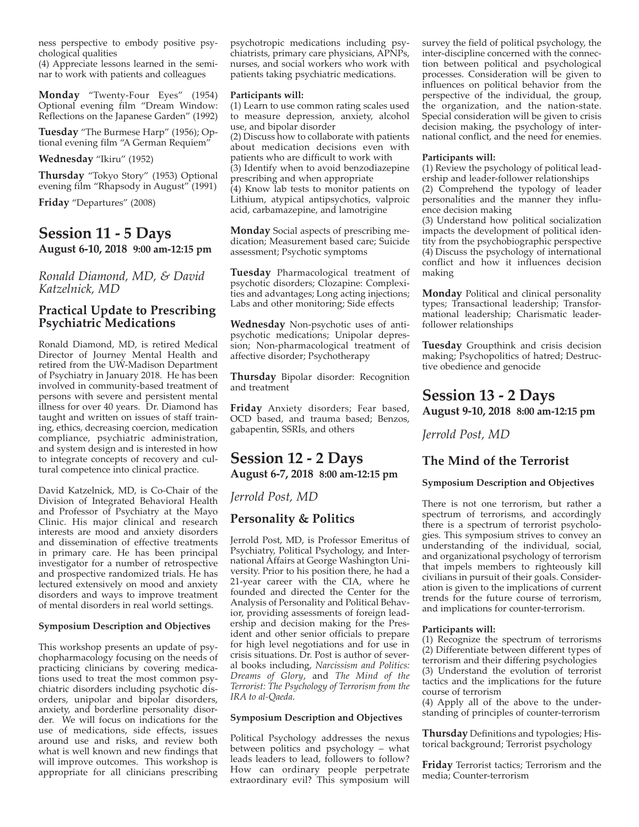ness perspective to embody positive psychological qualities

(4) Appreciate lessons learned in the seminar to work with patients and colleagues

**Monday** "Twenty-Four Eyes" (1954) Optional evening film "Dream Window: Reflections on the Japanese Garden" (1992)

**tuesday** "The Burmese Harp" (1956); Optional evening film "A German Requiem"

#### **Wednesday** "Ikiru" (1952)

**thursday** "Tokyo Story" (1953) Optional evening film "Rhapsody in August" (1991)

**friday** "Departures" (2008)

#### **Session 11 - 5 days**

**august 6-10, 2018 9:00 am-12:15 pm**

#### *Ronald Diamond, MD, & David Katzelnick, MD*

#### **practical Update to prescribing psychiatric Medications**

Ronald Diamond, MD, is retired Medical Director of Journey Mental Health and retired from the UW-Madison Department of Psychiatry in January 2018. He has been involved in community-based treatment of persons with severe and persistent mental illness for over 40 years. Dr. Diamond has taught and written on issues of staff training, ethics, decreasing coercion, medication compliance, psychiatric administration, and system design and is interested in how to integrate concepts of recovery and cultural competence into clinical practice.

David Katzelnick, MD, is Co-Chair of the Division of Integrated Behavioral Health and Professor of Psychiatry at the Mayo Clinic. His major clinical and research interests are mood and anxiety disorders and dissemination of effective treatments in primary care. He has been principal investigator for a number of retrospective and prospective randomized trials. He has lectured extensively on mood and anxiety disorders and ways to improve treatment of mental disorders in real world settings.

#### **Symposium description and objectives**

This workshop presents an update of psychopharmacology focusing on the needs of practicing clinicians by covering medications used to treat the most common psychiatric disorders including psychotic disorders, unipolar and bipolar disorders, anxiety, and borderline personality disorder. We will focus on indications for the use of medications, side effects, issues around use and risks, and review both what is well known and new findings that will improve outcomes. This workshop is appropriate for all clinicians prescribing

psychotropic medications including psychiatrists, primary care physicians, APNPs, nurses, and social workers who work with patients taking psychiatric medications.

#### **participants will:**

(1) Learn to use common rating scales used to measure depression, anxiety, alcohol use, and bipolar disorder

(2) Discuss how to collaborate with patients about medication decisions even with patients who are difficult to work with (3) Identify when to avoid benzodiazepine prescribing and when appropriate (4) Know lab tests to monitor patients on Lithium, atypical antipsychotics, valproic acid, carbamazepine, and lamotrigine

**Monday** Social aspects of prescribing medication; Measurement based care; Suicide assessment; Psychotic symptoms

**Tuesday** Pharmacological treatment of psychotic disorders; Clozapine: Complexities and advantages; Long acting injections; Labs and other monitoring; Side effects

**Wednesday** Non-psychotic uses of antipsychotic medications; Unipolar depression; Non-pharmacological treatment of affective disorder; Psychotherapy

**thursday** Bipolar disorder: Recognition and treatment

**friday** Anxiety disorders; Fear based, OCD based, and trauma based; Benzos, gabapentin, SSRIs, and others

### **Session 12 - 2 Days august 6-7, 2018 8:00 am-12:15 pm**

*Jerrold Post, MD*

#### **personality & politics**

Jerrold Post, MD, is Professor Emeritus of Psychiatry, Political Psychology, and International Affairs at George Washington University. Prior to his position there, he had a 21-year career with the CIA, where he founded and directed the Center for the Analysis of Personality and Political Behavior, providing assessments of foreign leadership and decision making for the President and other senior officials to prepare for high level negotiations and for use in crisis situations. Dr. Post is author of several books including, *Narcissism and Politics: Dreams of Glory*, and *The Mind of the Terrorist: The Psychology of Terrorism from the IRA to al-Qaeda*.

#### **Symposium description and objectives**

Political Psychology addresses the nexus between politics and psychology – what leads leaders to lead, followers to follow? How can ordinary people perpetrate extraordinary evil? This symposium will

survey the field of political psychology, the inter-discipline concerned with the connection between political and psychological processes. Consideration will be given to influences on political behavior from the perspective of the individual, the group, the organization, and the nation-state. Special consideration will be given to crisis decision making, the psychology of international conflict, and the need for enemies.

#### **participants will:**

(1) Review the psychology of political leadership and leader-follower relationships

(2) Comprehend the typology of leader personalities and the manner they influence decision making

(3) Understand how political socialization impacts the development of political identity from the psychobiographic perspective (4) Discuss the psychology of international conflict and how it influences decision making

**Monday** Political and clinical personality types; Transactional leadership; Transformational leadership; Charismatic leaderfollower relationships

**tuesday** Groupthink and crisis decision making; Psychopolitics of hatred; Destructive obedience and genocide

# **Session 13 - 2 Days**

**august 9-10, 2018 8:00 am-12:15 pm**

*Jerrold Post, MD*

#### **the Mind of the terrorist**

#### **Symposium description and objectives**

There is not one terrorism, but rather a spectrum of terrorisms, and accordingly there is a spectrum of terrorist psychologies. This symposium strives to convey an understanding of the individual, social, and organizational psychology of terrorism that impels members to righteously kill civilians in pursuit of their goals. Consideration is given to the implications of current trends for the future course of terrorism, and implications for counter-terrorism.

#### **participants will:**

(1) Recognize the spectrum of terrorisms (2) Differentiate between different types of terrorism and their differing psychologies (3) Understand the evolution of terrorist tactics and the implications for the future course of terrorism

(4) Apply all of the above to the understanding of principles of counter-terrorism

**thursday** Definitions and typologies; Historical background; Terrorist psychology

**friday** Terrorist tactics; Terrorism and the media; Counter-terrorism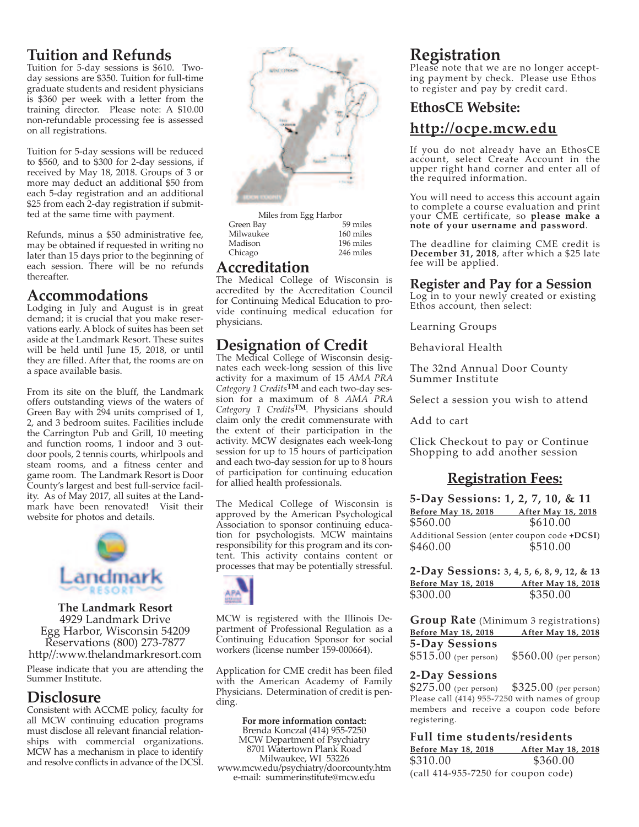# **Tuition and Refunds**

Tuition for 5-day sessions is \$610. Twoday sessions are \$350. Tuition for full-time graduate students and resident physicians is \$360 per week with a letter from the training director. Please note: A \$10.00 non-refundable processing fee is assessed on all registrations.

Tuition for 5-day sessions will be reduced to \$560, and to \$300 for 2-day sessions, if received by May 18, 2018. Groups of 3 or more may deduct an additional \$50 from each 5-day registration and an additional \$25 from each 2-day registration if submitted at the same time with payment.

Refunds, minus a \$50 administrative fee, may be obtained if requested in writing no later than 15 days prior to the beginning of each session. There will be no refunds thereafter.

### **accommodations**

Lodging in July and August is in great demand; it is crucial that you make reservations early. A block of suites has been set aside at the Landmark Resort. These suites will be held until June 15, 2018, or until they are filled. After that, the rooms are on a space available basis.

From its site on the bluff, the Landmark offers outstanding views of the waters of Green Bay with 294 units comprised of 1, 2, and 3 bedroom suites. Facilities include the Carrington Pub and Grill, 10 meeting and function rooms, 1 indoor and 3 outdoor pools, 2 tennis courts, whirlpools and steam rooms, and a fitness center and game room. The Landmark Resort is Door County's largest and best full-service facility. As of May 2017, all suites at the Landmark have been renovated! Visit their website for photos and details.



**The Landmark Resort** 4929 Landmark Drive Egg Harbor, Wisconsin 54209 Reservations (800) 273-7877 http//:www.thelandmarkresort.com

Please indicate that you are attending the Summer Institute.

# **disclosure**

Consistent with ACCME policy, faculty for all MCW continuing education programs must disclose all relevant financial relationships with commercial organizations. MCW has a mechanism in place to identify and resolve conflicts in advance of the DCSI.



| Miles from Egg Harbor |           |
|-----------------------|-----------|
| Green Bay             | 59 miles  |
| Milwaukee             | 160 miles |
| Madison               | 196 miles |
| Chicago               | 246 miles |
|                       |           |

# **accreditation**

The Medical College of Wisconsin is accredited by the Accreditation Council for Continuing Medical Education to provide continuing medical education for physicians.

# **Designation of Credit**

The Medical College of Wisconsin designates each week-long session of this live activity for a maximum of 15 *AMA PRA Category 1 Credits***tM** and each two-day session for a maximum of 8 *AMA PRA Category 1 Credits***tM**. Physicians should claim only the credit commensurate with the extent of their participation in the activity. MCW designates each week-long session for up to 15 hours of participation and each two-day session for up to 8 hours of participation for continuing education for allied health professionals.

The Medical College of Wisconsin is approved by the American Psychological Association to sponsor continuing education for psychologists. MCW maintains responsibility for this program and its content. This activity contains content or processes that may be potentially stressful.



MCW is registered with the Illinois Department of Professional Regulation as a Continuing Education Sponsor for social workers (license number 159-000664).

Application for CME credit has been filed with the American Academy of Family Physicians. Determination of credit is pending.

**for more information contact:** Brenda Konczal (414) 955-7250 MCW Department of Psychiatry 8701 Watertown Plank Road Milwaukee, WI 53226 www.mcw.edu/psychiatry/doorcounty.htm e-mail: summerinstitute@mcw.edu

# **registration**

Please note that we are no longer accepting payment by check. Please use Ethos to register and pay by credit card.

# **ethosce Website: http://ocpe.mcw.edu**

If you do not already have an EthosCE account, select Create Account in the upper right hand corner and enter all of the required information.

You will need to access this account again to complete a course evaluation and print your CME certificate, so **please make a note of your username and password**.

The deadline for claiming CME credit is **december 31, 2018**, after which a \$25 late fee will be applied.

#### **register and pay for a Session**

Log in to your newly created or existing Ethos account, then select:

Learning Groups

Behavioral Health

The 32nd Annual Door County Summer Institute

Select a session you wish to attend

Add to cart

Click Checkout to pay or Continue Shopping to add another session

# **registration fees:**

**5-day Sessions: 1, 2, 7, 10, & 11 before May 18, 2018 after May 18, 2018** \$560.00 \$610.00 Additional Session (enter coupon code +DCSI) \$460.00 \$510.00

**2-day Sessions: 3, 4, 5, 6, 8, 9, 12, & 13 before May 18, 2018 after May 18, 2018** \$300.00 \$350.00

**Group Rate** (Minimum 3 registrations) **before May 18, 2018 after May 18, 2018 5-Day Sessions** \$515.00 (per person) \$560.00 (per person)

#### **2-Day Sessions**

\$275.00 (per person) \$325.00 (per person) Please call (414) 955-7250 with names of group members and receive a coupon code before registering.

#### **full time students/residents**

| <b>Before May 18, 2018</b>                  | <b>After May 18, 2018</b> |
|---------------------------------------------|---------------------------|
| \$310.00                                    | \$360.00                  |
| $\left($ call 414-955-7250 for coupon code) |                           |